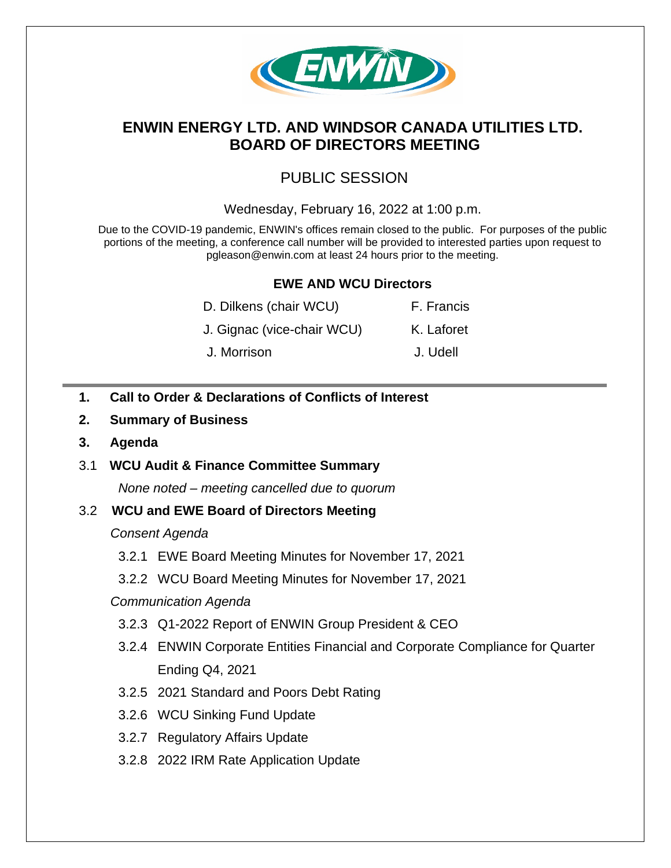

# **ENWIN ENERGY LTD. AND WINDSOR CANADA UTILITIES LTD. BOARD OF DIRECTORS MEETING**

# PUBLIC SESSION

### Wednesday, February 16, 2022 at 1:00 p.m.

Due to the COVID-19 pandemic, ENWIN's offices remain closed to the public. For purposes of the public portions of the meeting, a conference call number will be provided to interested parties upon request to pgleason@enwin.com at least 24 hours prior to the meeting.

## **EWE AND WCU Directors**

| D. Dilkens (chair WCU)     | F. Francis |
|----------------------------|------------|
| J. Gignac (vice-chair WCU) | K. Laforet |
| J. Morrison                | J. Udell   |

- **1. Call to Order & Declarations of Conflicts of Interest**
- **2. Summary of Business**
- **3. Agenda**

### 3.1 **WCU Audit & Finance Committee Summary**

*None noted – meeting cancelled due to quorum* 

### 3.2 **WCU and EWE Board of Directors Meeting**

#### *Consent Agenda*

- 3.2.1 EWE Board Meeting Minutes for November 17, 2021
- 3.2.2 WCU Board Meeting Minutes for November 17, 2021

#### *Communication Agenda*

- 3.2.3 Q1-2022 Report of ENWIN Group President & CEO
- 3.2.4 ENWIN Corporate Entities Financial and Corporate Compliance for Quarter Ending Q4, 2021
- 3.2.5 2021 Standard and Poors Debt Rating
- 3.2.6 WCU Sinking Fund Update
- 3.2.7 Regulatory Affairs Update
- 3.2.8 2022 IRM Rate Application Update